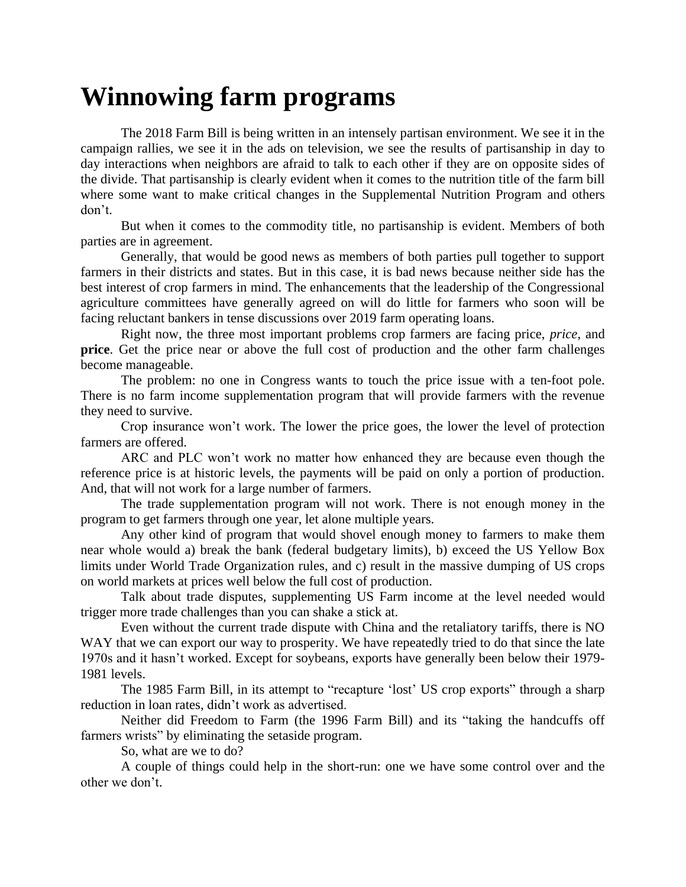## **Winnowing farm programs**

The 2018 Farm Bill is being written in an intensely partisan environment. We see it in the campaign rallies, we see it in the ads on television, we see the results of partisanship in day to day interactions when neighbors are afraid to talk to each other if they are on opposite sides of the divide. That partisanship is clearly evident when it comes to the nutrition title of the farm bill where some want to make critical changes in the Supplemental Nutrition Program and others don't.

But when it comes to the commodity title, no partisanship is evident. Members of both parties are in agreement.

Generally, that would be good news as members of both parties pull together to support farmers in their districts and states. But in this case, it is bad news because neither side has the best interest of crop farmers in mind. The enhancements that the leadership of the Congressional agriculture committees have generally agreed on will do little for farmers who soon will be facing reluctant bankers in tense discussions over 2019 farm operating loans.

Right now, the three most important problems crop farmers are facing price, *price*, and **price**. Get the price near or above the full cost of production and the other farm challenges become manageable.

The problem: no one in Congress wants to touch the price issue with a ten-foot pole. There is no farm income supplementation program that will provide farmers with the revenue they need to survive.

Crop insurance won't work. The lower the price goes, the lower the level of protection farmers are offered.

ARC and PLC won't work no matter how enhanced they are because even though the reference price is at historic levels, the payments will be paid on only a portion of production. And, that will not work for a large number of farmers.

The trade supplementation program will not work. There is not enough money in the program to get farmers through one year, let alone multiple years.

Any other kind of program that would shovel enough money to farmers to make them near whole would a) break the bank (federal budgetary limits), b) exceed the US Yellow Box limits under World Trade Organization rules, and c) result in the massive dumping of US crops on world markets at prices well below the full cost of production.

Talk about trade disputes, supplementing US Farm income at the level needed would trigger more trade challenges than you can shake a stick at.

Even without the current trade dispute with China and the retaliatory tariffs, there is NO WAY that we can export our way to prosperity. We have repeatedly tried to do that since the late 1970s and it hasn't worked. Except for soybeans, exports have generally been below their 1979- 1981 levels.

The 1985 Farm Bill, in its attempt to "recapture 'lost' US crop exports" through a sharp reduction in loan rates, didn't work as advertised.

Neither did Freedom to Farm (the 1996 Farm Bill) and its "taking the handcuffs off farmers wrists" by eliminating the setaside program.

So, what are we to do?

A couple of things could help in the short-run: one we have some control over and the other we don't.